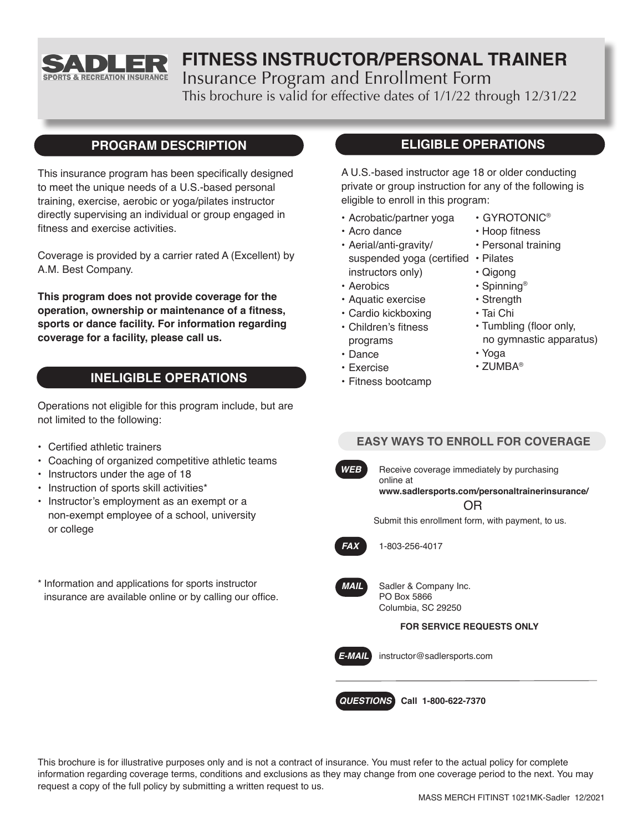

# **FITNESS INSTRUCTOR/PERSONAL TRAINER**

Insurance Program and Enrollment Form

This brochure is valid for effective dates of 1/1/22 through 12/31/22

## **PROGRAM DESCRIPTION**

This insurance program has been specifically designed to meet the unique needs of a U.S.-based personal training, exercise, aerobic or yoga/pilates instructor directly supervising an individual or group engaged in fitness and exercise activities.

Coverage is provided by a carrier rated A (Excellent) by A.M. Best Company.

**This program does not provide coverage for the operation, ownership or maintenance of a fitness, sports or dance facility. For information regarding coverage for a facility, please call us.**

## **INELIGIBLE OPERATIONS**

Operations not eligible for this program include, but are not limited to the following:

- Certified athletic trainers
- Coaching of organized competitive athletic teams
- Instructors under the age of 18
- Instruction of sports skill activities\*
- Instructor's employment as an exempt or a non-exempt employee of a school, university or college
- \* Information and applications for sports instructor insurance are available online or by calling our office.

## **ELIGIBLE OPERATIONS**

A U.S.-based instructor age 18 or older conducting private or group instruction for any of the following is eligible to enroll in this program:

- Acrobatic/partner yoga
- Acro dance
- Aerial/anti-gravity/ suspended yoga (certified • Pilates instructors only)
- Aerobics
- Aquatic exercise
- Cardio kickboxing
- Children's fitness programs
- Dance
- Exercise
- Fitness bootcamp
- GYROTONIC®
- Hoop fitness
- Personal training
- 
- Qigong
- Strength
- Tai Chi
- Tumbling (floor only,
- no gymnastic apparatus)
- Yoga
- ZUMBA®

## **EASY WAYS TO ENROLL FOR COVERAGE**

**WEB** Receive coverage immediately by purchasing

online at

OR **www.sadlersports.com/personaltrainerinsurance/**

Submit this enrollment form, with payment, to us.



*FAX* 1-803-256-4017



*MAIL* Sadler & Company Inc. PO Box 5866 Columbia, SC 29250

### **FOR SERVICE REQUESTS ONLY**



*E-MAIL* instructor@sadlersports.com

*QUESTIONS* **Call 1-800-622-7370**

This brochure is for illustrative purposes only and is not a contract of insurance. You must refer to the actual policy for complete information regarding coverage terms, conditions and exclusions as they may change from one coverage period to the next. You may request a copy of the full policy by submitting a written request to us.

• Spinning®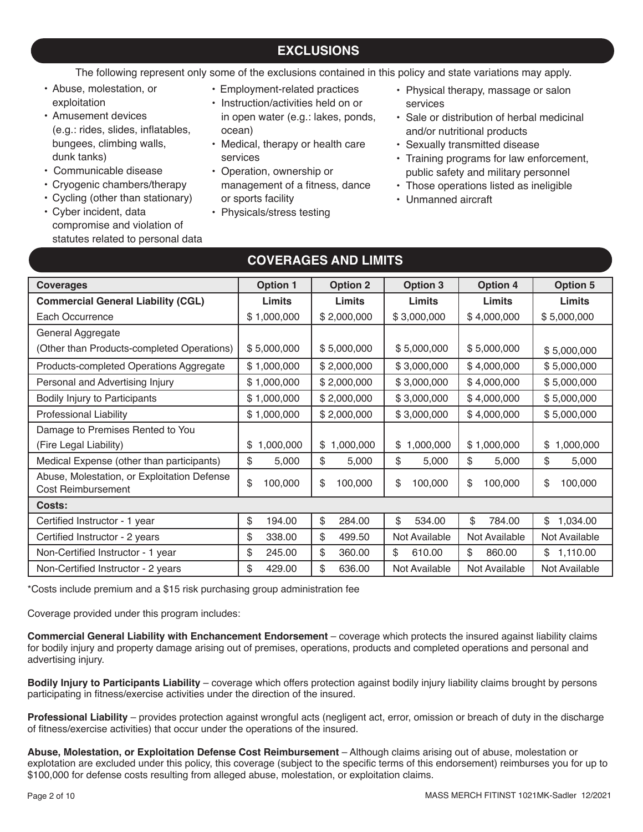## **EXCLUSIONS**

The following represent only some of the exclusions contained in this policy and state variations may apply.

- Abuse, molestation, or exploitation
- Amusement devices (e.g.: rides, slides, inflatables, bungees, climbing walls, dunk tanks)
- Communicable disease
- Cryogenic chambers/therapy
- Cycling (other than stationary)
- Cyber incident, data compromise and violation of statutes related to personal data
- Employment-related practices
- Instruction/activities held on or in open water (e.g.: lakes, ponds, ocean)
- Medical, therapy or health care services
- Operation, ownership or management of a fitness, dance or sports facility
- Physicals/stress testing
- Physical therapy, massage or salon services
- Sale or distribution of herbal medicinal and/or nutritional products
- Sexually transmitted disease
- Training programs for law enforcement, public safety and military personnel
- Those operations listed as ineligible
- Unmanned aircraft

| <b>Coverages</b>                                                  | <b>Option 1</b> | <b>Option 2</b> | <b>Option 3</b> | <b>Option 4</b> | <b>Option 5</b> |
|-------------------------------------------------------------------|-----------------|-----------------|-----------------|-----------------|-----------------|
| <b>Commercial General Liability (CGL)</b>                         | <b>Limits</b>   | Limits          | <b>Limits</b>   | Limits          | Limits          |
| Each Occurrence                                                   | \$1,000,000     | \$2,000,000     | \$3,000,000     | \$4,000,000     | \$5,000,000     |
| General Aggregate                                                 |                 |                 |                 |                 |                 |
| (Other than Products-completed Operations)                        | \$5,000,000     | \$5,000,000     | \$5,000,000     | \$5,000,000     | \$5,000,000     |
| Products-completed Operations Aggregate                           | \$1,000,000     | \$2,000,000     | \$3,000,000     | \$4,000,000     | \$5,000,000     |
| Personal and Advertising Injury                                   | \$1,000,000     | \$2,000,000     | \$3,000,000     | \$4,000,000     | \$5,000,000     |
| Bodily Injury to Participants                                     | \$1,000,000     | \$2,000,000     | \$3,000,000     | \$4,000,000     | \$5,000,000     |
| Professional Liability                                            | \$1,000,000     | \$2,000,000     | \$3,000,000     | \$4,000,000     | \$5,000,000     |
| Damage to Premises Rented to You                                  |                 |                 |                 |                 |                 |
| (Fire Legal Liability)                                            | 1,000,000<br>\$ | \$1,000,000     | 1,000,000<br>\$ | \$1,000,000     | 1,000,000<br>\$ |
| Medical Expense (other than participants)                         | \$<br>5,000     | \$<br>5,000     | \$<br>5,000     | \$<br>5,000     | \$<br>5,000     |
| Abuse, Molestation, or Exploitation Defense<br>Cost Reimbursement | \$<br>100,000   | \$<br>100,000   | \$<br>100,000   | \$<br>100,000   | \$<br>100,000   |
| Costs:                                                            |                 |                 |                 |                 |                 |
| Certified Instructor - 1 year                                     | \$<br>194.00    | \$<br>284.00    | \$<br>534.00    | \$<br>784.00    | 1,034.00<br>\$  |
| Certified Instructor - 2 years                                    | \$<br>338.00    | \$<br>499.50    | Not Available   | Not Available   | Not Available   |
| Non-Certified Instructor - 1 year                                 | \$<br>245.00    | \$<br>360.00    | \$<br>610.00    | \$<br>860.00    | \$1,110.00      |
| Non-Certified Instructor - 2 years                                | \$<br>429.00    | \$<br>636.00    | Not Available   | Not Available   | Not Available   |

**COVERAGES AND LIMITS**

\*Costs include premium and a \$15 risk purchasing group administration fee

Coverage provided under this program includes:

**Commercial General Liability with Enchancement Endorsement** – coverage which protects the insured against liability claims for bodily injury and property damage arising out of premises, operations, products and completed operations and personal and advertising injury.

**Bodily Injury to Participants Liability** – coverage which offers protection against bodily injury liability claims brought by persons participating in fitness/exercise activities under the direction of the insured.

**Professional Liability** – provides protection against wrongful acts (negligent act, error, omission or breach of duty in the discharge of fitness/exercise activities) that occur under the operations of the insured.

**Abuse, Molestation, or Exploitation Defense Cost Reimbursement** – Although claims arising out of abuse, molestation or explotation are excluded under this policy, this coverage (subject to the specific terms of this endorsement) reimburses you for up to \$100,000 for defense costs resulting from alleged abuse, molestation, or exploitation claims.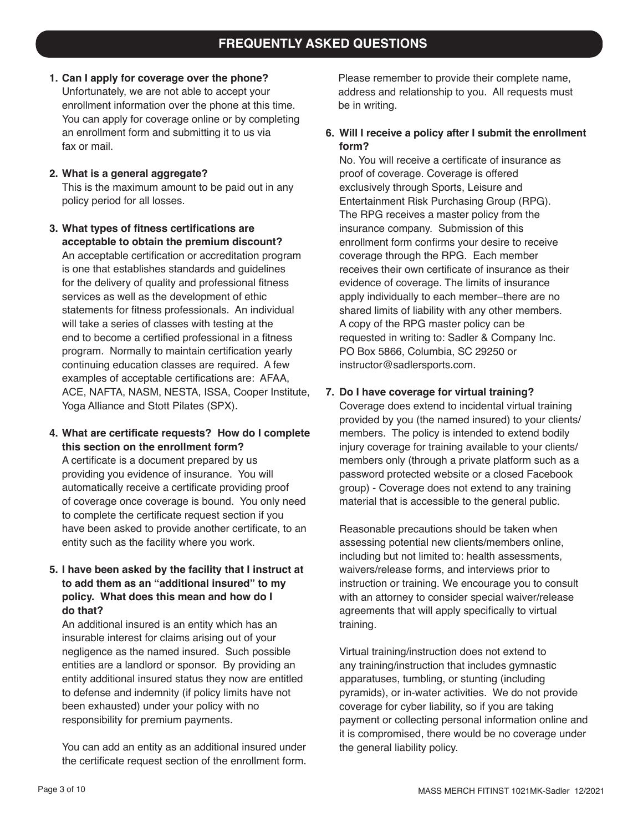- **1. Can I apply for coverage over the phone?** Unfortunately, we are not able to accept your enrollment information over the phone at this time. You can apply for coverage online or by completing an enrollment form and submitting it to us via fax or mail.
- **2. What is a general aggregate?** This is the maximum amount to be paid out in any policy period for all losses.
- **3. What types of fitness certifications are acceptable to obtain the premium discount?** An acceptable certification or accreditation program is one that establishes standards and guidelines for the delivery of quality and professional fitness services as well as the development of ethic statements for fitness professionals. An individual will take a series of classes with testing at the end to become a certified professional in a fitness program. Normally to maintain certification yearly continuing education classes are required. A few examples of acceptable certifications are: AFAA, ACE, NAFTA, NASM, NESTA, ISSA, Cooper Institute, Yoga Alliance and Stott Pilates (SPX).
- **4. What are certificate requests? How do I complete this section on the enrollment form?**

A certificate is a document prepared by us providing you evidence of insurance. You will automatically receive a certificate providing proof of coverage once coverage is bound. You only need to complete the certificate request section if you have been asked to provide another certificate, to an entity such as the facility where you work.

**5. I have been asked by the facility that I instruct at to add them as an "additional insured" to my policy. What does this mean and how do I do that?**

An additional insured is an entity which has an insurable interest for claims arising out of your negligence as the named insured. Such possible entities are a landlord or sponsor. By providing an entity additional insured status they now are entitled to defense and indemnity (if policy limits have not been exhausted) under your policy with no responsibility for premium payments.

You can add an entity as an additional insured under the certificate request section of the enrollment form. Please remember to provide their complete name, address and relationship to you. All requests must be in writing.

### **6. Will I receive a policy after I submit the enrollment form?**

No. You will receive a certificate of insurance as proof of coverage. Coverage is offered exclusively through Sports, Leisure and Entertainment Risk Purchasing Group (RPG). The RPG receives a master policy from the insurance company. Submission of this enrollment form confirms your desire to receive coverage through the RPG. Each member receives their own certificate of insurance as their evidence of coverage. The limits of insurance apply individually to each member–there are no shared limits of liability with any other members. A copy of the RPG master policy can be requested in writing to: Sadler & Company Inc. PO Box 5866, Columbia, SC 29250 or instructor@sadlersports.com.

### **7. Do I have coverage for virtual training?**

Coverage does extend to incidental virtual training provided by you (the named insured) to your clients/ members. The policy is intended to extend bodily injury coverage for training available to your clients/ members only (through a private platform such as a password protected website or a closed Facebook group) - Coverage does not extend to any training material that is accessible to the general public.

Reasonable precautions should be taken when assessing potential new clients/members online, including but not limited to: health assessments, waivers/release forms, and interviews prior to instruction or training. We encourage you to consult with an attorney to consider special waiver/release agreements that will apply specifically to virtual training.

Virtual training/instruction does not extend to any training/instruction that includes gymnastic apparatuses, tumbling, or stunting (including pyramids), or in-water activities. We do not provide coverage for cyber liability, so if you are taking payment or collecting personal information online and it is compromised, there would be no coverage under the general liability policy.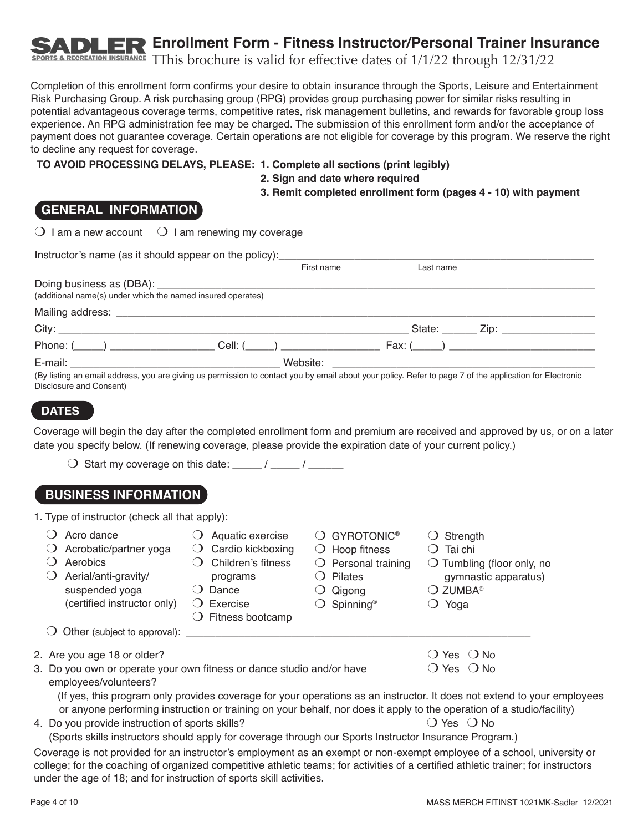## **Enrollment Form - Fitness Instructor/Personal Trainer Insurance**

RECREATION INSURANCE TThis brochure is valid for effective dates of  $1/1/22$  through  $12/31/22$ 

Completion of this enrollment form confirms your desire to obtain insurance through the Sports, Leisure and Entertainment Risk Purchasing Group. A risk purchasing group (RPG) provides group purchasing power for similar risks resulting in potential advantageous coverage terms, competitive rates, risk management bulletins, and rewards for favorable group loss experience. An RPG administration fee may be charged. The submission of this enrollment form and/or the acceptance of payment does not guarantee coverage. Certain operations are not eligible for coverage by this program. We reserve the right to decline any request for coverage.

### **TO AVOID PROCESSING DELAYS, PLEASE: 1. Complete all sections (print legibly)**

**2. Sign and date where required**

**3. Remit completed enrollment form (pages 4 - 10) with payment**

## **GENERAL INFORMATION**

 $\bigcirc$  I am a new account  $\bigcirc$  I am renewing my coverage

| Instructor's name (as it should appear on the policy):                                                                                                                             |            |           |  |
|------------------------------------------------------------------------------------------------------------------------------------------------------------------------------------|------------|-----------|--|
|                                                                                                                                                                                    | First name | Last name |  |
| (additional name(s) under which the named insured operates)                                                                                                                        |            |           |  |
|                                                                                                                                                                                    |            |           |  |
|                                                                                                                                                                                    |            |           |  |
| Phone: $(\_\_\_\_)$                                                                                                                                                                |            | Fax: (    |  |
|                                                                                                                                                                                    |            |           |  |
| (By listing an email address, you are giving us permission to contact you by email about your policy. Refer to page 7 of the application for Electronic<br>Disclosure and Consent) |            |           |  |

### **DATES**

Coverage will begin the day after the completed enrollment form and premium are received and approved by us, or on a later date you specify below. (If renewing coverage, please provide the expiration date of your current policy.)

 $\bigcirc$  Start my coverage on this date: \_\_\_\_\_ / \_\_\_\_\_ / \_\_\_\_\_\_

## **BUSINESS INFORMATION**

1. Type of instructor (check all that apply):

| $\cup$ | Acro dance<br>Acrobatic/partner yoga<br>Aerobics<br>Aerial/anti-gravity/<br>suspended yoga<br>(certified instructor only)<br>Other (subject to approval): ____________ | Aquatic exercise<br>Cardio kickboxing<br>$\cup$<br>Children's fitness<br>programs<br>Dance<br>$\bigcirc$ Exercise<br>Fitness bootcamp<br>$\Omega$ | <b>GYROTONIC®</b><br>Hoop fitness<br>$\cup$<br>Personal training<br>$\cup$<br>Pilates<br>Qigong<br>Spinning <sup>®</sup> | Strength<br>Tai chi<br>$\bigcirc$ Tumbling (floor only, no<br>gymnastic apparatus)<br>$\bigcirc$ zumba®<br>Yoga |  |
|--------|------------------------------------------------------------------------------------------------------------------------------------------------------------------------|---------------------------------------------------------------------------------------------------------------------------------------------------|--------------------------------------------------------------------------------------------------------------------------|-----------------------------------------------------------------------------------------------------------------|--|
|        | 2. Are you age 18 or older?<br>3. Do you own or operate your own fitness or dance studio and/or have<br>employees/volunteers?                                          |                                                                                                                                                   |                                                                                                                          | () Yes () No<br>$\bigcirc$ Yes $\bigcirc$ No                                                                    |  |

 (If yes, this program only provides coverage for your operations as an instructor. It does not extend to your employees or anyone performing instruction or training on your behalf, nor does it apply to the operation of a studio/facility)

- 4. Do you provide instruction of sports skills? The Manuson Common North State  $\overline{O}$  Yes  $\overline{O}$  No
	- (Sports skills instructors should apply for coverage through our Sports Instructor Insurance Program.)

Coverage is not provided for an instructor's employment as an exempt or non-exempt employee of a school, university or college; for the coaching of organized competitive athletic teams; for activities of a certified athletic trainer; for instructors under the age of 18; and for instruction of sports skill activities.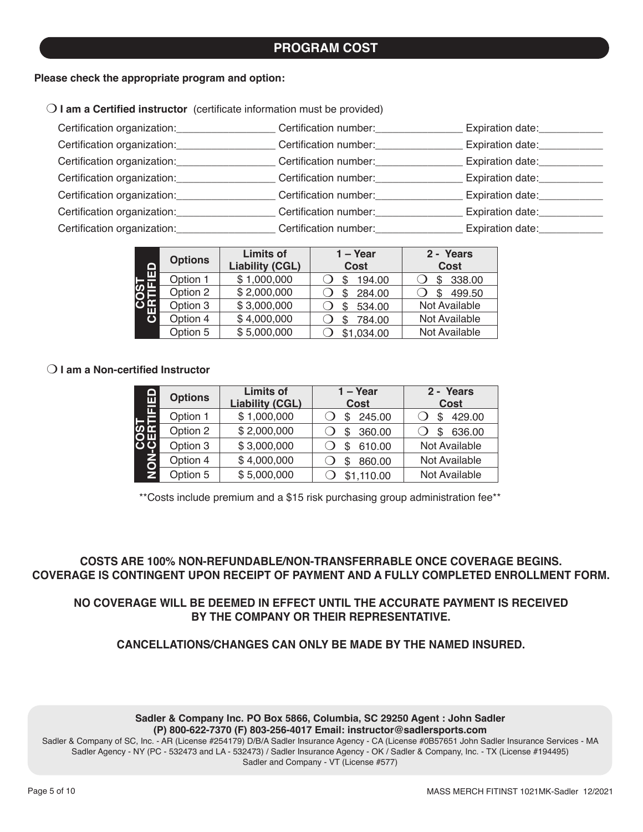## **PROGRAM COST**

#### **Please check the appropriate program and option:**

| $\bigcirc$ I am a Certified instructor (certificate information must be provided) |  |  |
|-----------------------------------------------------------------------------------|--|--|
|-----------------------------------------------------------------------------------|--|--|

| Certification organization: | Certification number: | Expiration date: |
|-----------------------------|-----------------------|------------------|
| Certification organization: | Certification number: | Expiration date: |
| Certification organization: | Certification number: | Expiration date: |
| Certification organization: | Certification number: | Expiration date: |
| Certification organization: | Certification number: | Expiration date: |
| Certification organization: | Certification number: | Expiration date: |
| Certification organization: | Certification number: | Expiration date: |

|             | <b>Options</b> | <b>Limits of</b>       | $1 - Year$  | 2 - Years     |
|-------------|----------------|------------------------|-------------|---------------|
| $\Box$      |                | <b>Liability (CGL)</b> | <b>Cost</b> | Cost          |
| 6<br>도<br>이 | Option 1       | \$1,000,000            | 194.00      | 338.00<br>\$  |
|             | Option 2       | \$2,000,000            | 284.00      | 499.50        |
| π           | Option 3       | \$3,000,000            | 534.00      | Not Available |
|             | Option 4       | \$4,000,000            | 784.00      | Not Available |
|             | Option 5       | \$5,000,000            | \$1,034.00  | Not Available |

### m **I am a Non-certified Instructor**

| <u>dana</u><br>Tungk | <b>Options</b> | <b>Limits of</b><br><b>Liability (CGL)</b> | 1 – Year<br><b>Cost</b> | 2 - Years<br><b>Cost</b> |
|----------------------|----------------|--------------------------------------------|-------------------------|--------------------------|
|                      | Option 1       | \$1,000,000                                | 245.00                  | 429.00                   |
| <b>SEE</b>           | Option 2       | \$2,000,000                                | 360.00                  | 636.00                   |
|                      | Option 3       | \$3,000,000                                | 610.00                  | Not Available            |
| ã                    | Option 4       | \$4,000,000                                | 860.00                  | Not Available            |
| Ž.                   | Option 5       | \$5,000,000                                | \$1,110.00              | Not Available            |

\*\*Costs include premium and a \$15 risk purchasing group administration fee\*\*

**COSTS ARE 100% NON-REFUNDABLE/NON-TRANSFERRABLE ONCE COVERAGE BEGINS. COVERAGE IS CONTINGENT UPON RECEIPT OF PAYMENT AND A FULLY COMPLETED ENROLLMENT FORM.** 

### **NO COVERAGE WILL BE DEEMED IN EFFECT UNTIL THE ACCURATE PAYMENT IS RECEIVED BY THE COMPANY OR THEIR REPRESENTATIVE.**

**CANCELLATIONS/CHANGES CAN ONLY BE MADE BY THE NAMED INSURED.**

#### **Sadler & Company Inc. PO Box 5866, Columbia, SC 29250 Agent : John Sadler (P) 800-622-7370 (F) 803-256-4017 Email: instructor@sadlersports.com**

Sadler & Company of SC, Inc. - AR (License #254179) D/B/A Sadler Insurance Agency - CA (License #0B57651 John Sadler Insurance Services - MA Sadler Agency - NY (PC - 532473 and LA - 532473) / Sadler Insurance Agency - OK / Sadler & Company, Inc. - TX (License #194495) Sadler and Company - VT (License #577)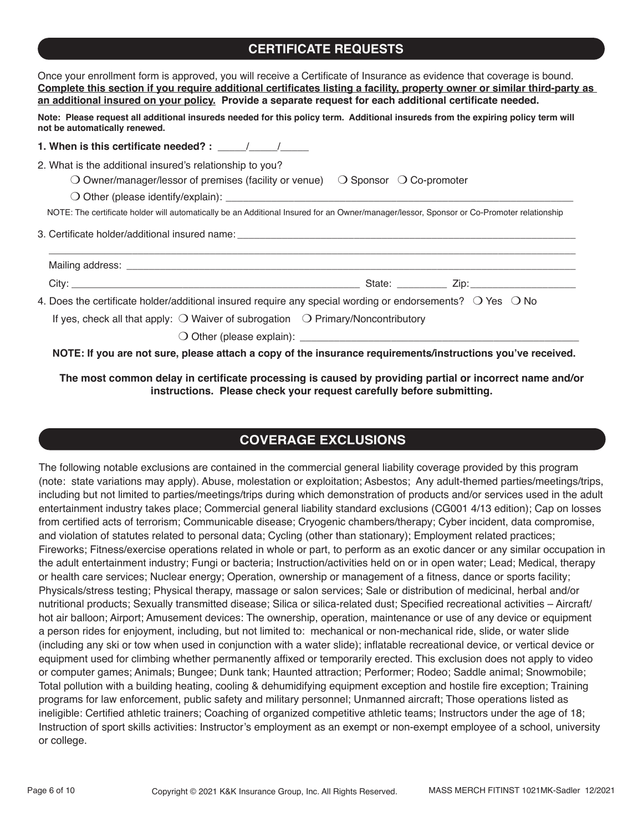## **CERTIFICATE REQUESTS**

| Once your enrollment form is approved, you will receive a Certificate of Insurance as evidence that coverage is bound.<br>Complete this section if you require additional certificates listing a facility, property owner or similar third-party as<br>an additional insured on your policy. Provide a separate request for each additional certificate needed. |
|-----------------------------------------------------------------------------------------------------------------------------------------------------------------------------------------------------------------------------------------------------------------------------------------------------------------------------------------------------------------|
| Note: Please request all additional insureds needed for this policy term. Additional insureds from the expiring policy term will<br>not be automatically renewed.                                                                                                                                                                                               |
| 1. When is this certificate needed? : $\frac{1}{\sqrt{1-\frac{1}{2}}}\frac{1}{\sqrt{1-\frac{1}{2}}}}$                                                                                                                                                                                                                                                           |
| 2. What is the additional insured's relationship to you?<br>O Owner/manager/lessor of premises (facility or venue) $\Box$ Sponsor $\Box$ Co-promoter<br>NOTE: The certificate holder will automatically be an Additional Insured for an Owner/manager/lessor, Sponsor or Co-Promoter relationship                                                               |
|                                                                                                                                                                                                                                                                                                                                                                 |
|                                                                                                                                                                                                                                                                                                                                                                 |
| 4. Does the certificate holder/additional insured require any special wording or endorsements? $\bigcirc$ Yes $\bigcirc$ No                                                                                                                                                                                                                                     |
| If yes, check all that apply: $\bigcirc$ Waiver of subrogation $\bigcirc$ Primary/Noncontributory                                                                                                                                                                                                                                                               |
| NOTE: If you are not sure, please attach a copy of the insurance requirements/instructions you've received.                                                                                                                                                                                                                                                     |

**The most common delay in certificate processing is caused by providing partial or incorrect name and/or instructions. Please check your request carefully before submitting.**

## **COVERAGE EXCLUSIONS**

The following notable exclusions are contained in the commercial general liability coverage provided by this program (note: state variations may apply). Abuse, molestation or exploitation; Asbestos; Any adult-themed parties/meetings/trips, including but not limited to parties/meetings/trips during which demonstration of products and/or services used in the adult entertainment industry takes place; Commercial general liability standard exclusions (CG001 4/13 edition); Cap on losses from certified acts of terrorism; Communicable disease; Cryogenic chambers/therapy; Cyber incident, data compromise, and violation of statutes related to personal data; Cycling (other than stationary); Employment related practices; Fireworks; Fitness/exercise operations related in whole or part, to perform as an exotic dancer or any similar occupation in the adult entertainment industry; Fungi or bacteria; Instruction/activities held on or in open water; Lead; Medical, therapy or health care services; Nuclear energy; Operation, ownership or management of a fitness, dance or sports facility; Physicals/stress testing; Physical therapy, massage or salon services; Sale or distribution of medicinal, herbal and/or nutritional products; Sexually transmitted disease; Silica or silica-related dust; Specified recreational activities – Aircraft/ hot air balloon; Airport; Amusement devices: The ownership, operation, maintenance or use of any device or equipment a person rides for enjoyment, including, but not limited to: mechanical or non-mechanical ride, slide, or water slide (including any ski or tow when used in conjunction with a water slide); inflatable recreational device, or vertical device or equipment used for climbing whether permanently affixed or temporarily erected. This exclusion does not apply to video or computer games; Animals; Bungee; Dunk tank; Haunted attraction; Performer; Rodeo; Saddle animal; Snowmobile; Total pollution with a building heating, cooling & dehumidifying equipment exception and hostile fire exception; Training programs for law enforcement, public safety and military personnel; Unmanned aircraft; Those operations listed as ineligible: Certified athletic trainers; Coaching of organized competitive athletic teams; Instructors under the age of 18; Instruction of sport skills activities: Instructor's employment as an exempt or non-exempt employee of a school, university or college.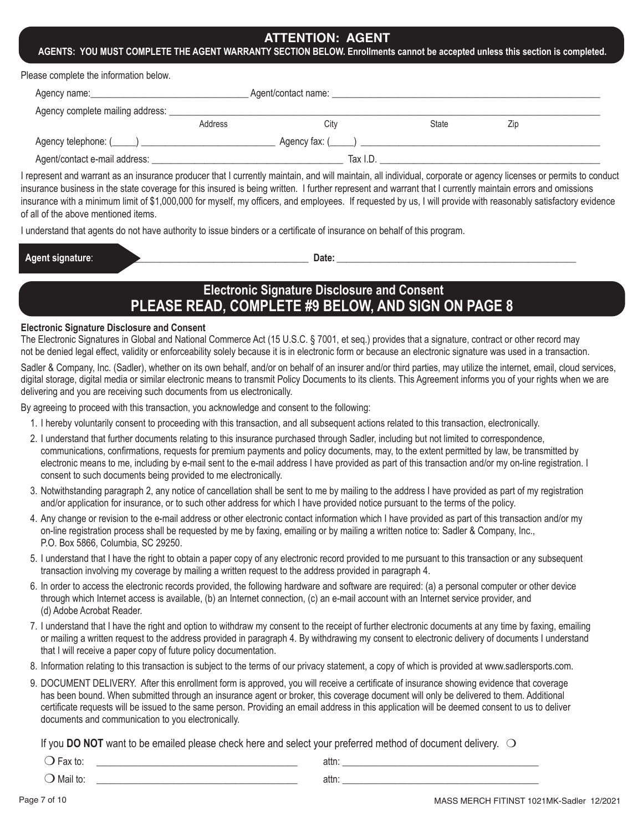### **ATTENTION: AGENT**

#### **AGENTS: YOU MUST COMPLETE THE AGENT WARRANTY SECTION BELOW. Enrollments cannot be accepted unless this section is completed.**

Please complete the information below.

| Agency name:                     |         | Agent/contact name: |              |     |  |
|----------------------------------|---------|---------------------|--------------|-----|--|
| Agency complete mailing address: |         |                     |              |     |  |
|                                  | Address | Citv                | <b>State</b> | Zip |  |
|                                  |         | Agency fax: $($     |              |     |  |
| Agent/contact e-mail address:    |         | Tax I.D.            |              |     |  |

I represent and warrant as an insurance producer that I currently maintain, and will maintain, all individual, corporate or agency licenses or permits to conduct insurance business in the state coverage for this insured is being written. I further represent and warrant that I currently maintain errors and omissions insurance with a minimum limit of \$1,000,000 for myself, my officers, and employees. If requested by us, I will provide with reasonably satisfactory evidence of all of the above mentioned items.

I understand that agents do not have authority to issue binders or a certificate of insurance on behalf of this program.

| Agent signature: |
|------------------|
|------------------|

 $\blacksquare$  Date:

## **Electronic Signature Disclosure and Consent PLEASE READ, COMPLETE #9 BELOW, AND SIGN ON PAGE 8**

#### **Electronic Signature Disclosure and Consent**

The Electronic Signatures in Global and National Commerce Act (15 U.S.C. § 7001, et seq.) provides that a signature, contract or other record may not be denied legal effect, validity or enforceability solely because it is in electronic form or because an electronic signature was used in a transaction.

Sadler & Company, Inc. (Sadler), whether on its own behalf, and/or on behalf of an insurer and/or third parties, may utilize the internet, email, cloud services, digital storage, digital media or similar electronic means to transmit Policy Documents to its clients. This Agreement informs you of your rights when we are delivering and you are receiving such documents from us electronically.

By agreeing to proceed with this transaction, you acknowledge and consent to the following:

- 1. I hereby voluntarily consent to proceeding with this transaction, and all subsequent actions related to this transaction, electronically.
- 2. I understand that further documents relating to this insurance purchased through Sadler, including but not limited to correspondence, communications, confirmations, requests for premium payments and policy documents, may, to the extent permitted by law, be transmitted by electronic means to me, including by e-mail sent to the e-mail address I have provided as part of this transaction and/or my on-line registration. I consent to such documents being provided to me electronically.
- 3. Notwithstanding paragraph 2, any notice of cancellation shall be sent to me by mailing to the address I have provided as part of my registration and/or application for insurance, or to such other address for which I have provided notice pursuant to the terms of the policy.
- 4. Any change or revision to the e-mail address or other electronic contact information which I have provided as part of this transaction and/or my on-line registration process shall be requested by me by faxing, emailing or by mailing a written notice to: Sadler & Company, Inc., P.O. Box 5866, Columbia, SC 29250.
- 5. I understand that I have the right to obtain a paper copy of any electronic record provided to me pursuant to this transaction or any subsequent transaction involving my coverage by mailing a written request to the address provided in paragraph 4.
- 6. In order to access the electronic records provided, the following hardware and software are required: (a) a personal computer or other device through which Internet access is available, (b) an Internet connection, (c) an e-mail account with an Internet service provider, and (d) Adobe Acrobat Reader.
- 7. I understand that I have the right and option to withdraw my consent to the receipt of further electronic documents at any time by faxing, emailing or mailing a written request to the address provided in paragraph 4. By withdrawing my consent to electronic delivery of documents I understand that I will receive a paper copy of future policy documentation.
- 8. Information relating to this transaction is subject to the terms of our privacy statement, a copy of which is provided at www.sadlersports.com.
- 9. DOCUMENT DELIVERY. After this enrollment form is approved, you will receive a certificate of insurance showing evidence that coverage has been bound. When submitted through an insurance agent or broker, this coverage document will only be delivered to them. Additional certificate requests will be issued to the same person. Providing an email address in this application will be deemed consent to us to deliver documents and communication to you electronically.

If you **DO NOT** want to be emailed please check here and select your preferred method of document delivery.  $\bigcirc$ 

 m Fax to: \_\_\_\_\_\_\_\_\_\_\_\_\_\_\_\_\_\_\_\_\_\_\_\_\_\_\_\_\_\_\_\_\_\_\_\_\_\_\_\_\_\_ attn: \_\_\_\_\_\_\_\_\_\_\_\_\_\_\_\_\_\_\_\_\_\_\_\_\_\_\_\_\_\_\_\_\_\_\_\_\_\_\_\_\_  $\bigcirc$  Mail to:  $\qquad \qquad \qquad$  attn:

Page 7 of 10 MASS MERCH FITINST 1021MK-Sadler 12/2021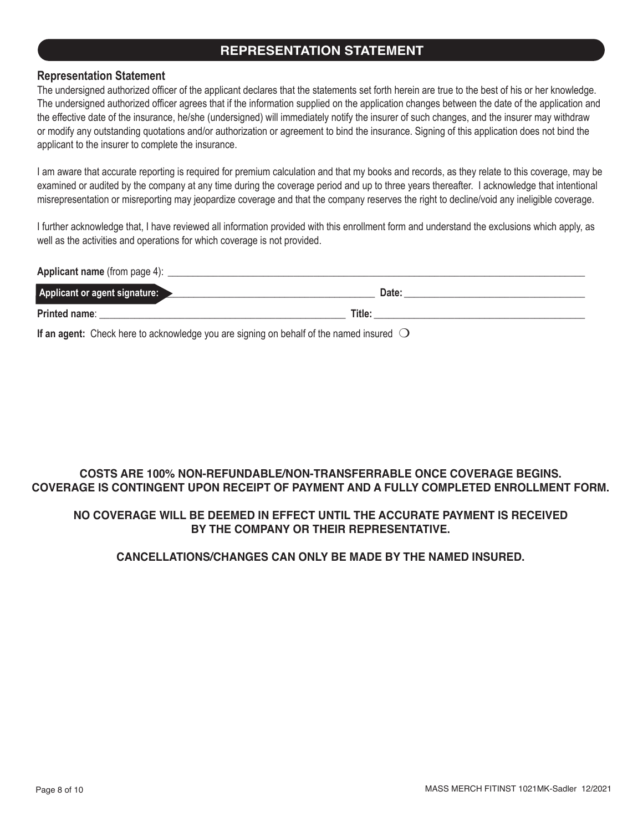## **REPRESENTATION STATEMENT**

### **Representation Statement**

The undersigned authorized officer of the applicant declares that the statements set forth herein are true to the best of his or her knowledge. The undersigned authorized officer agrees that if the information supplied on the application changes between the date of the application and the effective date of the insurance, he/she (undersigned) will immediately notify the insurer of such changes, and the insurer may withdraw or modify any outstanding quotations and/or authorization or agreement to bind the insurance. Signing of this application does not bind the applicant to the insurer to complete the insurance.

I am aware that accurate reporting is required for premium calculation and that my books and records, as they relate to this coverage, may be examined or audited by the company at any time during the coverage period and up to three years thereafter. I acknowledge that intentional misrepresentation or misreporting may jeopardize coverage and that the company reserves the right to decline/void any ineligible coverage.

I further acknowledge that, I have reviewed all information provided with this enrollment form and understand the exclusions which apply, as well as the activities and operations for which coverage is not provided.

**Applicant name** (from page 4): \_\_\_\_\_\_\_\_\_\_\_\_\_\_\_\_\_\_\_\_\_\_\_\_\_\_\_\_\_\_\_\_\_\_\_\_\_\_\_\_\_\_\_\_\_\_\_\_\_\_\_\_\_\_\_\_\_\_\_\_\_\_\_\_\_\_\_\_\_\_\_\_\_\_\_\_\_\_\_\_\_\_\_

| Applicant or agent signature: |        | Date: |
|-------------------------------|--------|-------|
| Printed name:                 | Title: |       |

**If an agent:** Check here to acknowledge you are signing on behalf of the named insured  $\bigcirc$ 

## **COSTS ARE 100% NON-REFUNDABLE/NON-TRANSFERRABLE ONCE COVERAGE BEGINS. COVERAGE IS CONTINGENT UPON RECEIPT OF PAYMENT AND A FULLY COMPLETED ENROLLMENT FORM.**

### **NO COVERAGE WILL BE DEEMED IN EFFECT UNTIL THE ACCURATE PAYMENT IS RECEIVED BY THE COMPANY OR THEIR REPRESENTATIVE.**

### **CANCELLATIONS/CHANGES CAN ONLY BE MADE BY THE NAMED INSURED.**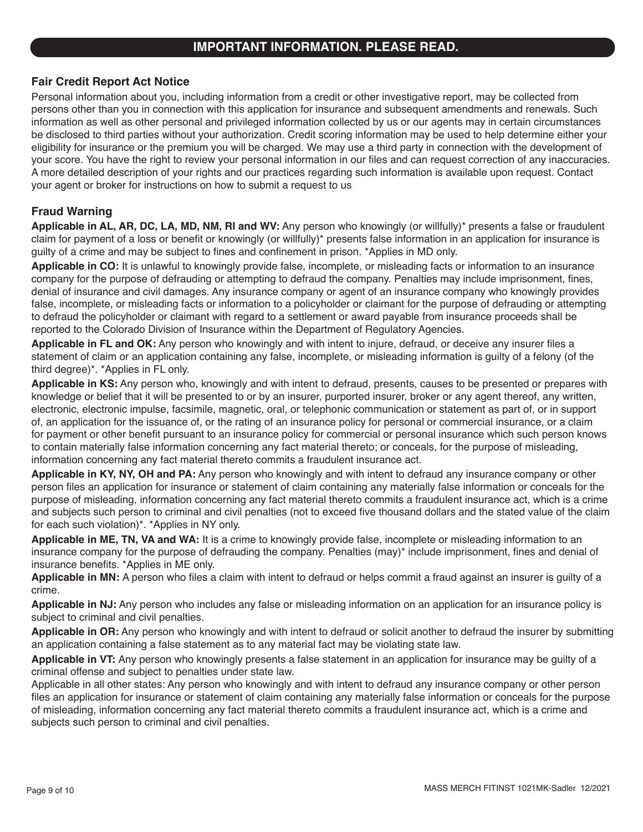### **Fair Credit Report Act Notice**

Personal information about you, including information from a credit or other investigative report, may be collected from persons other than you in connection with this application for insurance and subsequent amendments and renewals. Such information as well as other personal and privileged information collected by us or our agents may in certain circumstances be disclosed to third parties without your authorization. Credit scoring information may be used to help determine either your eligibility for insurance or the premium you will be charged. We may use a third party in connection with the development of your score. You have the right to review your personal information in our files and can request correction of any inaccuracies. A more detailed description of your rights and our practices regarding such information is available upon request. Contact your agent or broker for instructions on how to submit a request to us

### **Fraud Warning**

**Applicable in AL, AR, DC, LA, MD, NM, RI and WV:** Any person who knowingly (or willfully)\* presents a false or fraudulent claim for payment of a loss or benefit or knowingly (or willfully)\* presents false information in an application for insurance is guilty of a crime and may be subject to fines and confinement in prison. \*Applies in MD only.

**Applicable in CO:** It is unlawful to knowingly provide false, incomplete, or misleading facts or information to an insurance company for the purpose of defrauding or attempting to defraud the company. Penalties may include imprisonment, fines, denial of insurance and civil damages. Any insurance company or agent of an insurance company who knowingly provides false, incomplete, or misleading facts or information to a policyholder or claimant for the purpose of defrauding or attempting to defraud the policyholder or claimant with regard to a settlement or award payable from insurance proceeds shall be reported to the Colorado Division of Insurance within the Department of Regulatory Agencies.

**Applicable in FL and OK:** Any person who knowingly and with intent to injure, defraud, or deceive any insurer files a statement of claim or an application containing any false, incomplete, or misleading information is guilty of a felony (of the third degree)\*. \*Applies in FL only.

**Applicable in KS:** Any person who, knowingly and with intent to defraud, presents, causes to be presented or prepares with knowledge or belief that it will be presented to or by an insurer, purported insurer, broker or any agent thereof, any written, electronic, electronic impulse, facsimile, magnetic, oral, or telephonic communication or statement as part of, or in support of, an application for the issuance of, or the rating of an insurance policy for personal or commercial insurance, or a claim for payment or other benefit pursuant to an insurance policy for commercial or personal insurance which such person knows to contain materially false information concerning any fact material thereto; or conceals, for the purpose of misleading, information concerning any fact material thereto commits a fraudulent insurance act.

**Applicable in KY, NY, OH and PA:** Any person who knowingly and with intent to defraud any insurance company or other person files an application for insurance or statement of claim containing any materially false information or conceals for the purpose of misleading, information concerning any fact material thereto commits a fraudulent insurance act, which is a crime and subjects such person to criminal and civil penalties (not to exceed five thousand dollars and the stated value of the claim for each such violation)\*. \*Applies in NY only.

**Applicable in ME, TN, VA and WA:** It is a crime to knowingly provide false, incomplete or misleading information to an insurance company for the purpose of defrauding the company. Penalties (may)\* include imprisonment, fines and denial of insurance benefits. \*Applies in ME only.

**Applicable in MN:** A person who files a claim with intent to defraud or helps commit a fraud against an insurer is guilty of a crime.

**Applicable in NJ:** Any person who includes any false or misleading information on an application for an insurance policy is subject to criminal and civil penalties.

**Applicable in OR:** Any person who knowingly and with intent to defraud or solicit another to defraud the insurer by submitting an application containing a false statement as to any material fact may be violating state law.

**Applicable in VT:** Any person who knowingly presents a false statement in an application for insurance may be guilty of a criminal offense and subject to penalties under state law.

Applicable in all other states: Any person who knowingly and with intent to defraud any insurance company or other person files an application for insurance or statement of claim containing any materially false information or conceals for the purpose of misleading, information concerning any fact material thereto commits a fraudulent insurance act, which is a crime and subjects such person to criminal and civil penalties.